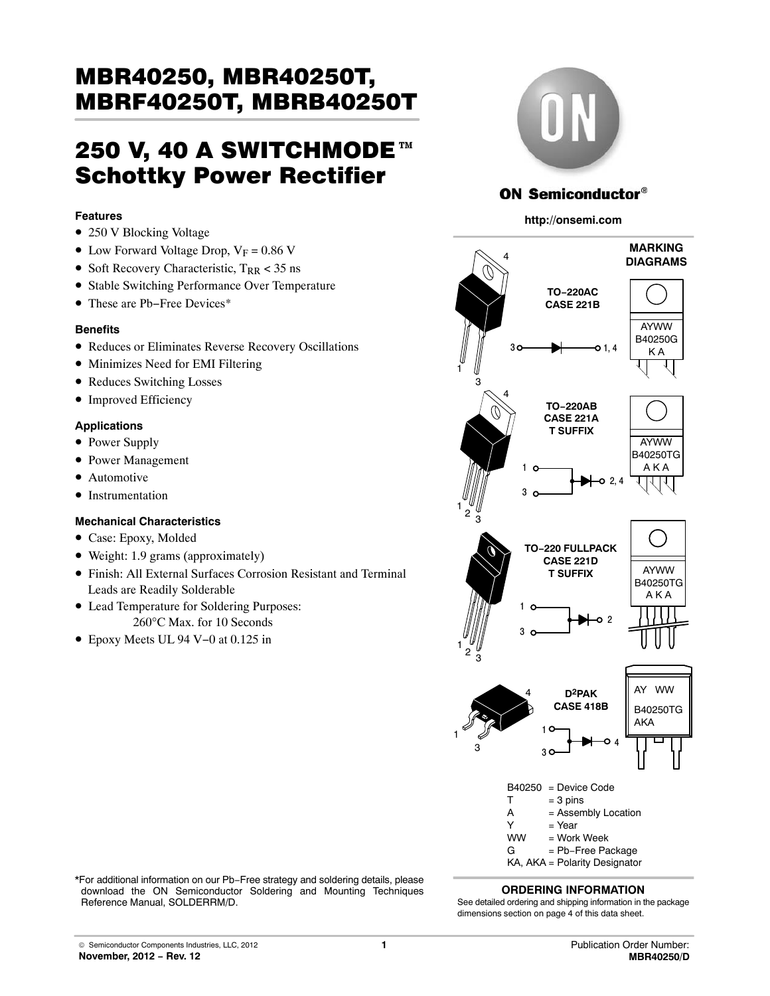# шрћг4∪2э∪т, шрћр4∪2э∪т<br>250 V, 40 A SWITCHMODE™ Schottky Power Rectifier

## **Features**

- 250 V Blocking Voltage
- Low Forward Voltage Drop,  $V_F = 0.86$  V
- Soft Recovery Characteristic,  $T_{RR}$  < 35 ns
- Stable Switching Performance Over Temperature
- These are Pb−Free Devices\*

## **Benefits**

- Reduces or Eliminates Reverse Recovery Oscillations
- Minimizes Need for EMI Filtering
- Reduces Switching Losses
- Improved Efficiency

## **Applications**

- Power Supply
- Power Management
- Automotive
- Instrumentation

## **Mechanical Characteristics**

- Case: Epoxy, Molded
- Weight: 1.9 grams (approximately)
- Finish: All External Surfaces Corrosion Resistant and Terminal Leads are Readily Solderable
- Lead Temperature for Soldering Purposes: 260°C Max. for 10 Seconds
- Epoxy Meets UL 94 V−0 at 0.125 in



## **ON Semiconductor®**

#### **http://onsemi.com**



#### **ORDERING INFORMATION**

\*For additional information on our Pb−Free strategy and soldering details, please download the ON Semiconductor Soldering and Mounting Techniques Reference Manual, SOLDERRM/D.

See detailed ordering and shipping information in the package dimensions section on page 4 of this data sheet.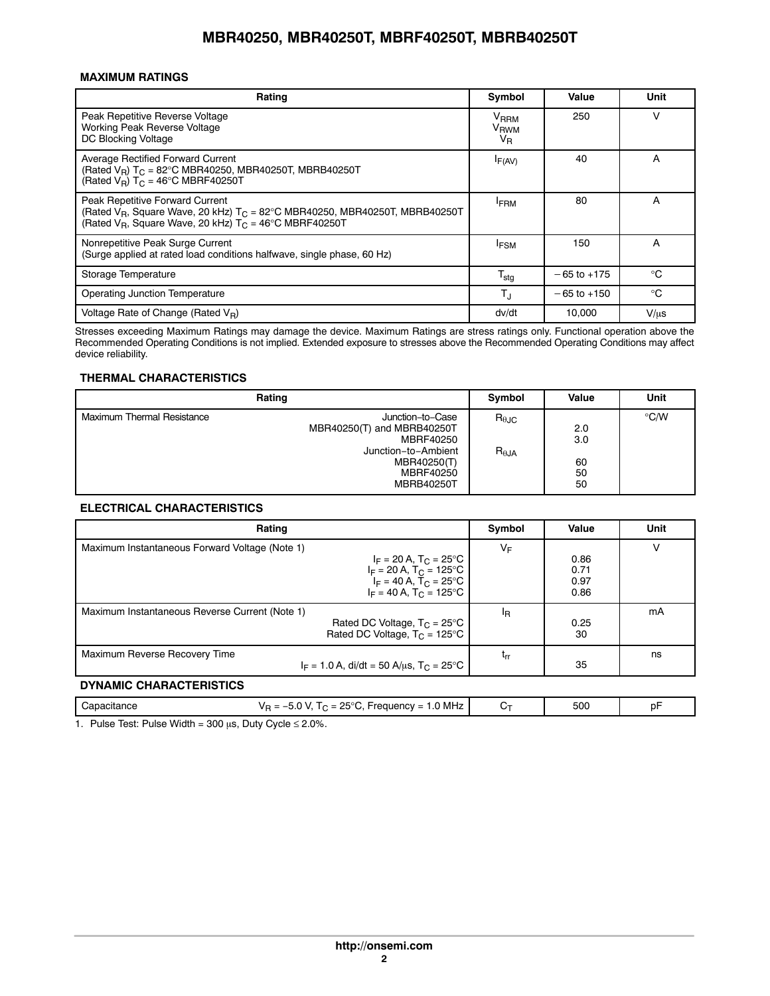## **MAXIMUM RATINGS**

| Rating                                                                                                                                                                                                  | Symbol                                                | Value           | Unit        |
|---------------------------------------------------------------------------------------------------------------------------------------------------------------------------------------------------------|-------------------------------------------------------|-----------------|-------------|
| Peak Repetitive Reverse Voltage<br>Working Peak Reverse Voltage<br>DC Blocking Voltage                                                                                                                  | <b>V<sub>RRM</sub></b><br>V <sub>RWM</sub><br>$V_{R}$ | 250             | v           |
| Average Rectified Forward Current<br>(Rated $V_R$ ) T <sub>C</sub> = 82°C MBR40250, MBR40250T, MBRB40250T<br>(Rated $V_B$ ) T <sub>C</sub> = 46°C MBRF40250T                                            | $I_{F(AV)}$                                           | 40              | A           |
| Peak Repetitive Forward Current<br>(Rated $V_B$ , Square Wave, 20 kHz) $T_C = 82^{\circ}$ C MBR40250, MBR40250T, MBRB40250T<br>(Rated $V_B$ , Square Wave, 20 kHz) $T_C = 46^\circ \text{C}$ MBRF40250T | <b>FRM</b>                                            | 80              | А           |
| Nonrepetitive Peak Surge Current<br>(Surge applied at rated load conditions halfwave, single phase, 60 Hz)                                                                                              | <b>IFSM</b>                                           | 150             | A           |
| Storage Temperature                                                                                                                                                                                     | $T_{\sf stg}$                                         | $-65$ to $+175$ | $^{\circ}C$ |
| <b>Operating Junction Temperature</b>                                                                                                                                                                   | $T_{\rm J}$                                           | $-65$ to $+150$ | $^{\circ}C$ |
| Voltage Rate of Change (Rated $V_B$ )                                                                                                                                                                   | dv/dt                                                 | 10.000          | $V/\mu s$   |

Stresses exceeding Maximum Ratings may damage the device. Maximum Ratings are stress ratings only. Functional operation above the Recommended Operating Conditions is not implied. Extended exposure to stresses above the Recommended Operating Conditions may affect device reliability.

## **THERMAL CHARACTERISTICS**

| Rating                            |                                                                                                                                     | Symbol                            | Value                        | Unit          |
|-----------------------------------|-------------------------------------------------------------------------------------------------------------------------------------|-----------------------------------|------------------------------|---------------|
| <b>Maximum Thermal Resistance</b> | Junction-to-Case<br>MBR40250(T) and MBRB40250T<br>MBRF40250<br>Junction-to-Ambient<br>MBR40250(T)<br>MBRF40250<br><b>MBRB40250T</b> | $R_{\theta$ JC<br>$R_{\theta JA}$ | 2.0<br>3.0<br>60<br>50<br>50 | $\degree$ C/W |

## **ELECTRICAL CHARACTERISTICS**

| Rating                                                                                                                                                                                                     | Symbol         | Value                        | Unit |
|------------------------------------------------------------------------------------------------------------------------------------------------------------------------------------------------------------|----------------|------------------------------|------|
| Maximum Instantaneous Forward Voltage (Note 1)<br>$I_F = 20 A$ , $T_C = 25^{\circ}C$<br>$I_F = 20 A$ , $T_C = 125^{\circ}C$<br>$I_F = 40 A$ , T <sub>C</sub> = 25°C<br>$I_F = 40 A$ , $T_C = 125^{\circ}C$ | $V_F$          | 0.86<br>0.71<br>0.97<br>0.86 | ν    |
| Maximum Instantaneous Reverse Current (Note 1)<br>Rated DC Voltage, $T_C = 25^{\circ}C$<br>Rated DC Voltage, $T_C = 125^{\circ}C$                                                                          | <sup>I</sup> R | 0.25<br>30                   | mA   |
| Maximum Reverse Recovery Time<br>$I_F = 1.0$ A, di/dt = 50 A/us, T <sub>C</sub> = 25°C                                                                                                                     | $t_{rr}$       | 35                           | ns   |
| <b>DYNAMIC CHARACTERISTICS</b>                                                                                                                                                                             |                |                              |      |
| $V_B = -5.0$ V, $T_C = 25^{\circ}$ C, Frequency = 1.0 MHz<br>Capacitance                                                                                                                                   | $C_{\text{T}}$ | 500                          | pF   |

1. Pulse Test: Pulse Width = 300  $\mu$ s, Duty Cycle  $\leq$  2.0%.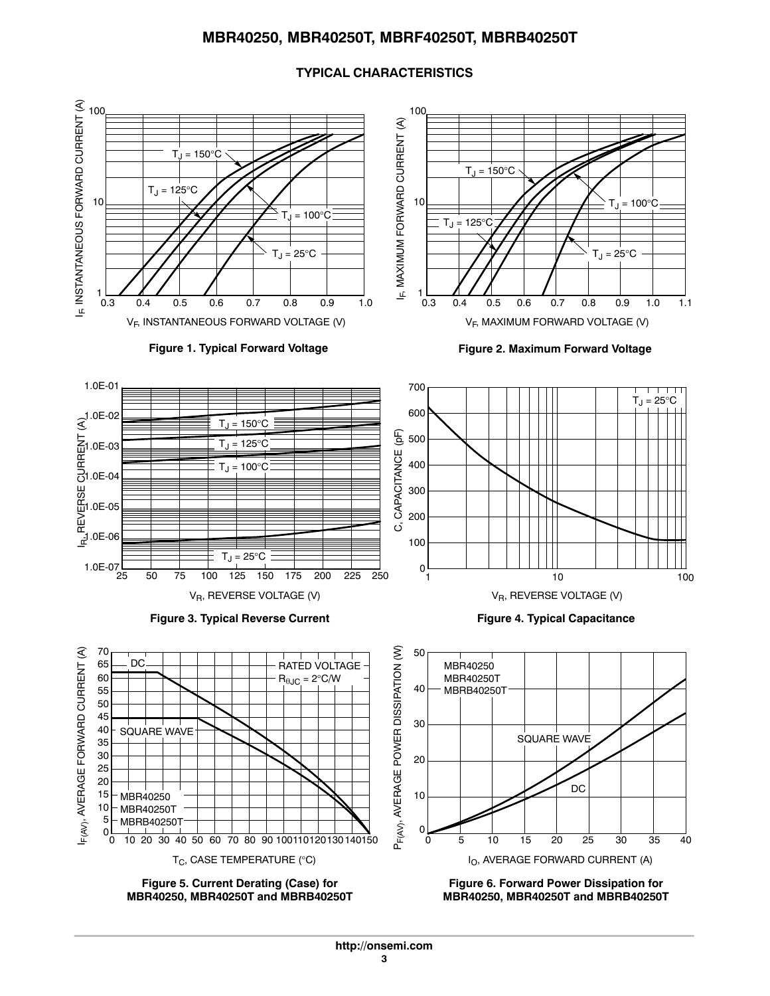## **TYPICAL CHARACTERISTICS**

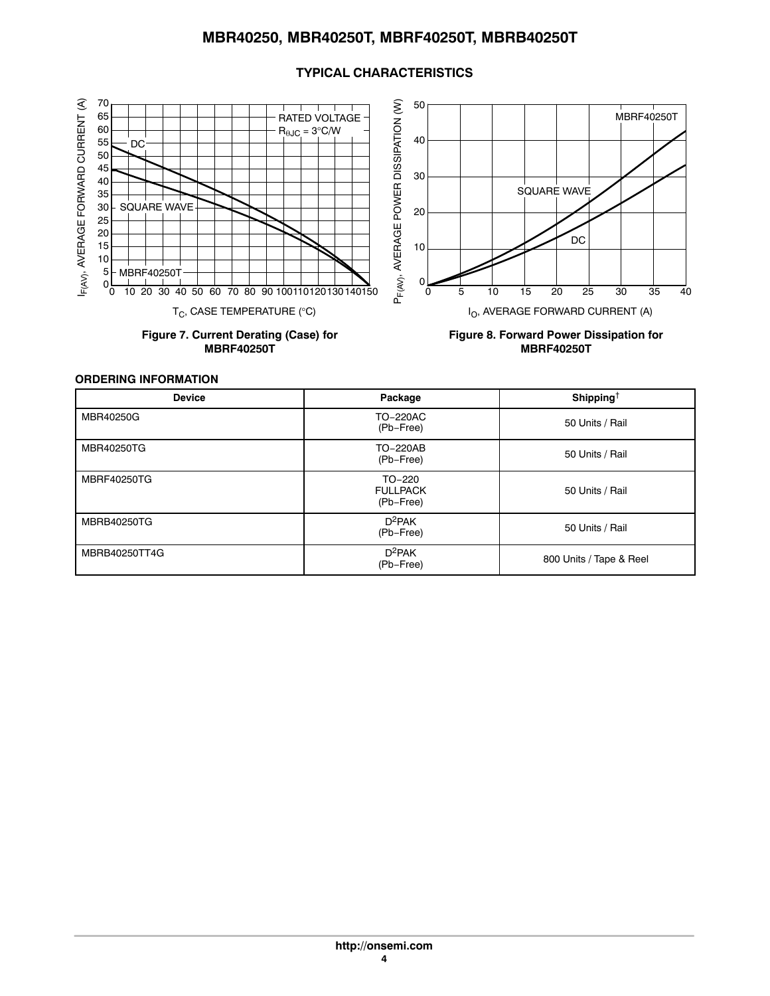



**Figure 7. Current Derating (Case) for MBRF40250T**



**Figure 8. Forward Power Dissipation for MBRF40250T**

**ORDERING INFORMATION**

| <b>Device</b>      | Package                                | Shipping <sup>†</sup>   |
|--------------------|----------------------------------------|-------------------------|
| MBR40250G          | TO-220AC<br>(Pb-Free)                  | 50 Units / Rail         |
| MBR40250TG         | TO-220AB<br>(Pb-Free)                  | 50 Units / Rail         |
| <b>MBRF40250TG</b> | TO-220<br><b>FULLPACK</b><br>(Pb-Free) | 50 Units / Rail         |
| MBRB40250TG        | $D^2PAK$<br>(Pb-Free)                  | 50 Units / Rail         |
| MBRB40250TT4G      | $D^2PAK$<br>(Pb-Free)                  | 800 Units / Tape & Reel |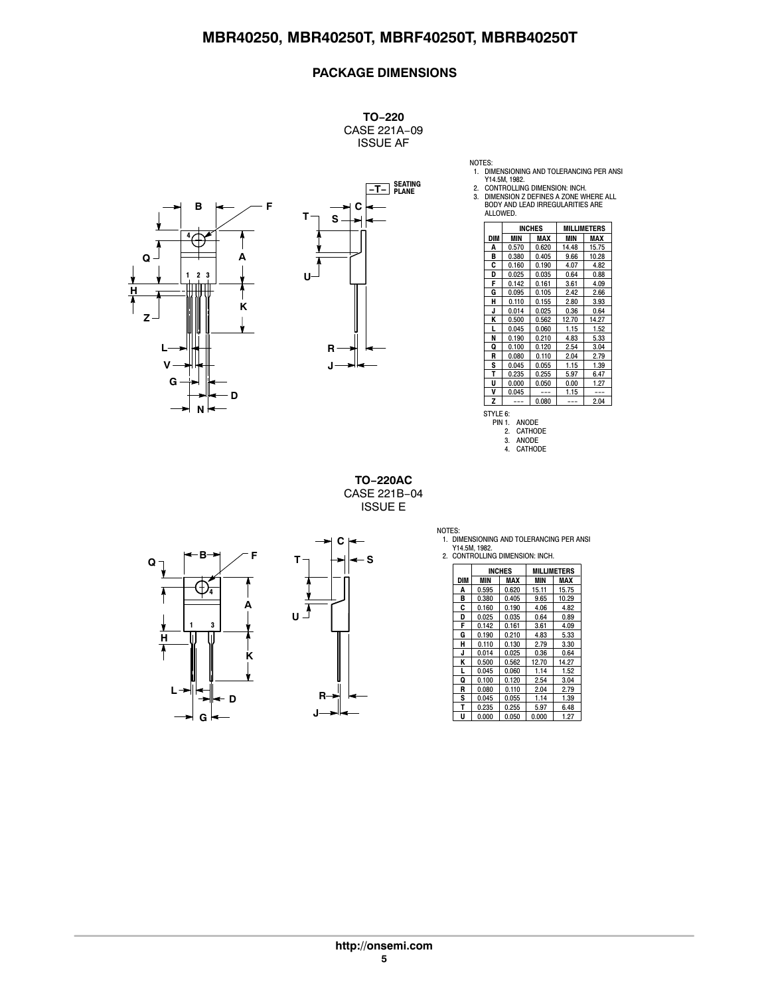## **PACKAGE DIMENSIONS**

**TO−220** CASE 221A−09 ISSUE AF





NOTES:<br>
1. DIMENSIONING AND TOLERANCING PER ANSI<br>
2. CONTROLLING DIMENSION: INCH.<br>
3. DIMENSION Z DEFINES A ZONE WHERE ALL<br>
BODY AND LEAD IRREGULARITIES ARE<br>
ALLOWED.

|                                                      | <b>INCHES</b> |       |       | <b>MILLIMETERS</b> |
|------------------------------------------------------|---------------|-------|-------|--------------------|
| <b>DIM</b>                                           | MIN           | MAX   | MIN   | MAX                |
| Α                                                    | 0.570         | 0.620 | 14.48 | 15.75              |
| В                                                    | 0.380         | 0.405 | 9.66  | 10.28              |
| C                                                    | 0.160         | 0.190 | 4.07  | 4.82               |
| D                                                    | 0.025         | 0.035 | 0.64  | 0.88               |
| F                                                    | 0.142         | 0.161 | 3.61  | 4.09               |
| G                                                    | 0.095         | 0.105 | 2.42  | 2.66               |
| н                                                    | 0.110         | 0.155 | 2.80  | 3.93               |
| J                                                    | 0.014         | 0.025 | 0.36  | 0.64               |
| ĸ                                                    | 0.500         | 0.562 | 12.70 | 14.27              |
| г                                                    | 0.045         | 0.060 | 1.15  | 1.52               |
| N                                                    | 0.190         | 0.210 | 4.83  | 5.33               |
| Q                                                    | 0.100         | 0.120 | 2.54  | 3.04               |
| R                                                    | 0.080         | 0.110 | 2.04  | 2.79               |
| S                                                    | 0.045         | 0.055 | 1.15  | 1.39               |
| т                                                    | 0.235         | 0.255 | 5.97  | 6.47               |
| U                                                    | 0.000         | 0.050 | 0.00  | 1.27               |
| ٧                                                    | 0.045         | ---   | 1.15  | ---                |
| Z                                                    |               | 0.080 | ---   | 2.04               |
| STYLE 6:<br>PIN 1.<br>ANODE                          |               |       |       |                    |
| <b>CATHODE</b><br>2.<br>ANODE<br>3.<br>CATHODE<br>4. |               |       |       |                    |

**TO−220AC** CASE 221B−04 ISSUE E

**B Q T** .+  $\overline{\mathcal{L}}$ **4 A** À **1 3 H K L D G**



NOTES: 1. DIMENSIONING AND TOLERANCING PER ANSI

|     | <b>INCHES</b> |       |       | <b>MILLIMETERS</b> |
|-----|---------------|-------|-------|--------------------|
| DIM | MIN           | MAX   | MIN   | MAX                |
| A   | 0.595         | 0.620 | 15.11 | 15.75              |
| в   | 0.380         | 0.405 | 9.65  | 10.29              |
| C   | 0.160         | 0.190 | 4.06  | 4.82               |
| D   | 0.025         | 0.035 | 0.64  | 0.89               |
| F   | 0.142         | 0.161 | 3.61  | 4.09               |
| G   | 0.190         | 0.210 | 4.83  | 5.33               |
| н   | 0.110         | 0.130 | 2.79  | 3.30               |
| J   | 0.014         | 0.025 | 0.36  | 0.64               |
| K   | 0.500         | 0.562 | 12.70 | 14.27              |
| L   | 0.045         | 0.060 | 1.14  | 1.52               |
| Q   | 0.100         | 0.120 | 2.54  | 3.04               |
| R   | 0.080         | 0.110 | 2.04  | 2.79               |
| S   | 0.045         | 0.055 | 1.14  | 1.39               |
| T   | 0.235         | 0.255 | 5.97  | 6.48               |
| U   | 0.000         | 0.050 | 0.000 | 1.27               |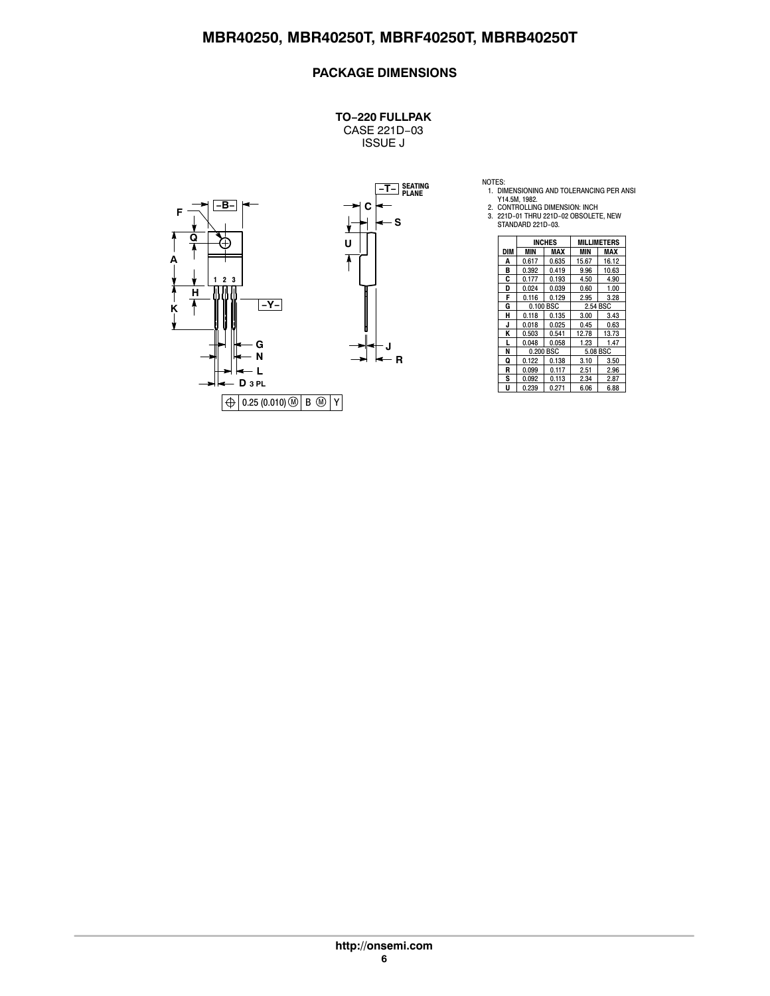## **PACKAGE DIMENSIONS**

**TO−220 FULLPAK** CASE 221D−03 ISSUE J



NOTES:<br>1. DIMENSIONING AND TOLERANCING PER ANSI<br>2. CONTROLLING DIMENSION: INCH<br>2. CONTROLLING DIMENSION: INCH<br>3. 221D-01 THRU 221D-03.<br>STANDARD 221D-03.

|     | <b>INCHES</b><br><b>MILLIMETERS</b> |       |          |       |
|-----|-------------------------------------|-------|----------|-------|
| DIM | MIN                                 | MAX   | MIN      | MAX   |
| A   | 0.617                               | 0.635 | 15.67    | 16.12 |
| в   | 0.392                               | 0.419 | 9.96     | 10.63 |
| C   | 0.177                               | 0.193 | 4.50     | 4.90  |
| D   | 0.024                               | 0.039 | 0.60     | 1.00  |
| F   | 0.116                               | 0.129 | 2.95     | 3.28  |
| G   | 0.100 BSC                           |       | 2.54 BSC |       |
| н   | 0.118                               | 0.135 | 3.00     | 3.43  |
| J   | 0.018                               | 0.025 | 0.45     | 0.63  |
| Κ   | 0.503                               | 0.541 | 12.78    | 13.73 |
| L   | 0.048                               | 0.058 | 1.23     | 1.47  |
| N   | 0.200 BSC                           |       | 5.08 BSC |       |
| Q   | 0.122                               | 0.138 | 3.10     | 3.50  |
| R   | 0.099                               | 0.117 | 2.51     | 2.96  |
| S   | 0.092                               | 0.113 | 2.34     | 2.87  |
| U   | 0.239                               | 0.271 | 6.06     | 6.88  |